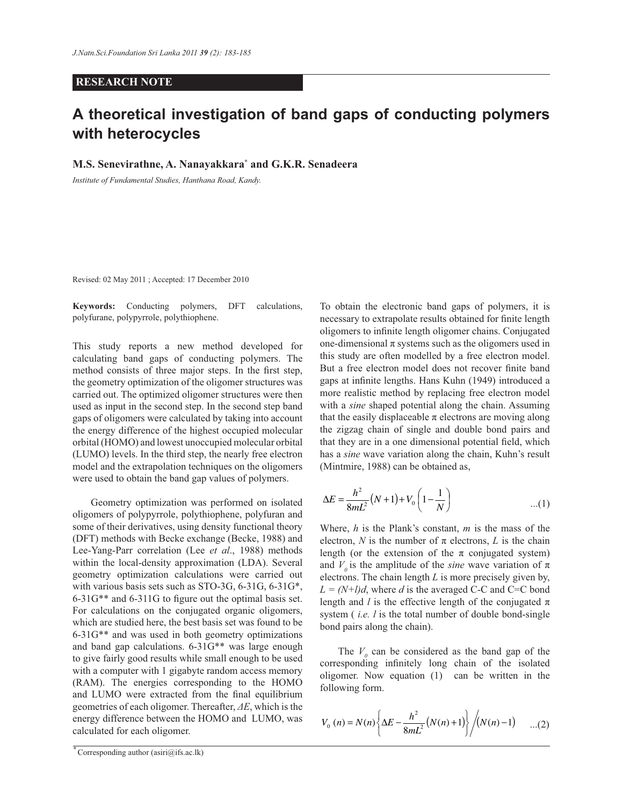## **RESEARCH NOTE**

## **A theoretical investigation of band gaps of conducting polymers with heterocycles**

## **M.S. Senevirathne, A. Nanayakkara\* and G.K.R. Senadeera**

*Institute of Fundamental Studies, Hanthana Road, Kandy.* 

Revised: 02 May 2011 ; Accepted: 17 December 2010

**Keywords:** Conducting polymers, DFT calculations, polyfurane, polypyrrole, polythiophene.

This study reports a new method developed for calculating band gaps of conducting polymers. The method consists of three major steps. In the first step, the geometry optimization of the oligomer structures was carried out. The optimized oligomer structures were then used as input in the second step. In the second step band gaps of oligomers were calculated by taking into account the energy difference of the highest occupied molecular orbital (HOMO) and lowest unoccupied molecular orbital (LUMO) levels. In the third step, the nearly free electron model and the extrapolation techniques on the oligomers were used to obtain the band gap values of polymers.

 Geometry optimization was performed on isolated oligomers of polypyrrole, polythiophene, polyfuran and some of their derivatives, using density functional theory (DFT) methods with Becke exchange (Becke, 1988) and Lee-Yang-Parr correlation (Lee *et al*., 1988) methods within the local-density approximation (LDA). Several geometry optimization calculations were carried out with various basis sets such as STO-3G, 6-31G, 6-31G\*, 6-31G\*\* and 6-311G to figure out the optimal basis set. For calculations on the conjugated organic oligomers, which are studied here, the best basis set was found to be 6-31G\*\* and was used in both geometry optimizations and band gap calculations. 6-31G\*\* was large enough to give fairly good results while small enough to be used with a computer with 1 gigabyte random access memory (RAM). The energies corresponding to the HOMO and LUMO were extracted from the final equilibrium geometries of each oligomer. Thereafter, *ΔE*, which is the energy difference between the HOMO and LUMO, was  $V_0(n) = N(n) \left\{ \left[ E \right] \frac{h^2}{g(n-1)} \left( N(n) + 1 \right) \right\} / \left( N(n) \right] 1 \right\}$ calculated for each oligomer.

To obtain the electronic band gaps of polymers, it is necessary to extrapolate results obtained for finite length oligomers to infinite length oligomer chains. Conjugated one-dimensional  $\pi$  systems such as the oligomers used in this study are often modelled by a free electron model. But a free electron model does not recover finite band gaps at infinite lengths. Hans Kuhn (1949) introduced a more realistic method by replacing free electron model with a *sine* shaped potential along the chain. Assuming that the easily displaceable  $\pi$  electrons are moving along the zigzag chain of single and double bond pairs and that they are in a one dimensional potential field, which has a *sine* wave variation along the chain, Kuhn's result (Mintmire, 1988) can be obtained as,

$$
\Box E = \frac{h^2}{8mL^2} (N+1) + V_0 \left( 1 \Box \frac{1}{N} \right) \qquad \qquad \dots (1)
$$

and  $V_0$  is the amplitude of the *sine* wave variation of  $\pi$ Where, *h* is the Plank's constant, *m* is the mass of the electron, *N* is the number of  $\pi$  electrons, *L* is the chain length (or the extension of the  $\pi$  conjugated system) electrons. The chain length *L* is more precisely given by,  $L = (N+l)d$ , where *d* is the averaged C-C and C=C bond length and *l* is the effective length of the conjugated  $\pi$ system ( *i.e. l* is the total number of double bond-single bond pairs along the chain).

The  $V_0$  can be considered as the band gap of the corresponding infinitely long chain of the isolated oligomer. Now equation (1) can be written in the following form.

$$
V_0(n) = N(n) \left\{ \prod E \prod \frac{h^2}{8mL^2} (N(n) + 1) \right\} / (N(n) \prod 1) \qquad ...(2)
$$

*<sup>\*</sup>* Corresponding author (asiri@ifs.ac.lk)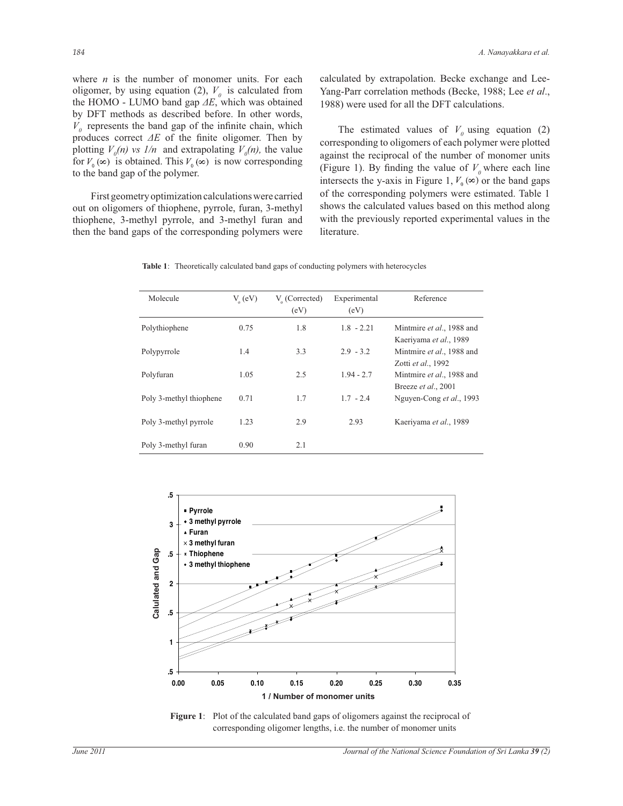where *n* is the number of monomer units. For each oligomer, by using equation (2),  $V<sub>0</sub>$  is calculated from the HOMO - LUMO band gap *ΔE*, which was obtained by DFT methods as described before. In other words,  $V<sub>o</sub>$  represents the band gap of the infinite chain, which produces correct *ΔE* of the finite oligomer. Then by plotting  $V_0(n)$  *vs*  $1/n$  and extrapolating  $V_0(n)$ , the value for  $V_0(\infty)$  is obtained. This  $V_0(\infty)$  is now corresponding to the band gap of the polymer.

 First geometry optimization calculations were carried out on oligomers of thiophene, pyrrole, furan, 3-methyl thiophene, 3-methyl pyrrole, and 3-methyl furan and then the band gaps of the corresponding polymers were calculated by extrapolation. Becke exchange and Lee-Yang-Parr correlation methods (Becke, 1988; Lee *et al*., 1988) were used for all the DFT calculations.

The estimated values of  $V<sub>0</sub>$  using equation (2) corresponding to oligomers of each polymer were plotted against the reciprocal of the number of monomer units (Figure 1). By finding the value of  $V$ <sup>0</sup> where each line intersects the y-axis in Figure 1,  $V_0(\infty)$  or the band gaps of the corresponding polymers were estimated. Table 1 shows the calculated values based on this method along with the previously reported experimental values in the literature.

**Table 1**: Theoretically calculated band gaps of conducting polymers with heterocycles

| Molecule                | $V_{\circ}$ (eV) | V <sub>(Corrected)</sub><br>(eV) | Experimental<br>(eV) | Reference                                           |
|-------------------------|------------------|----------------------------------|----------------------|-----------------------------------------------------|
| Polythiophene           | 0.75             | 1.8                              | $1.8 - 2.21$         | Mintmire et al., 1988 and<br>Kaeriyama et al., 1989 |
| Polypyrrole             | 1.4              | 3.3                              | $2.9 - 3.2$          | Mintmire et al., 1988 and<br>Zotti et al., 1992     |
| Polyfuran               | 1.05             | 2.5                              | $1.94 - 2.7$         | Mintmire et al., 1988 and<br>Breeze et al., 2001    |
| Poly 3-methyl thiophene | 0.71             | 1.7                              | $1.7 - 2.4$          | Nguyen-Cong et al., 1993                            |
| Poly 3-methyl pyrrole   | 1.23             | 2.9                              | 2.93                 | Kaeriyama et al., 1989                              |
| Poly 3-methyl furan     | 0.90             | 2.1                              |                      |                                                     |



**Figure 1**: Plot of the calculated band gaps of oligomers against the reciprocal of corresponding oligomer lengths, i.e. the number of monomer units